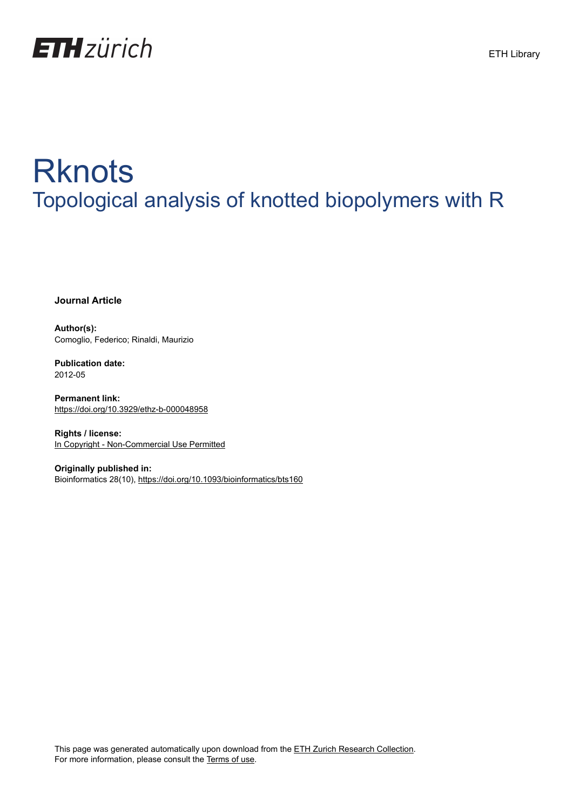

# **Rknots** Topological analysis of knotted biopolymers with R

**Journal Article**

**Author(s):** Comoglio, Federico; Rinaldi, Maurizio

**Publication date:** 2012-05

**Permanent link:** <https://doi.org/10.3929/ethz-b-000048958>

**Rights / license:** [In Copyright - Non-Commercial Use Permitted](http://rightsstatements.org/page/InC-NC/1.0/)

**Originally published in:** Bioinformatics 28(10), <https://doi.org/10.1093/bioinformatics/bts160>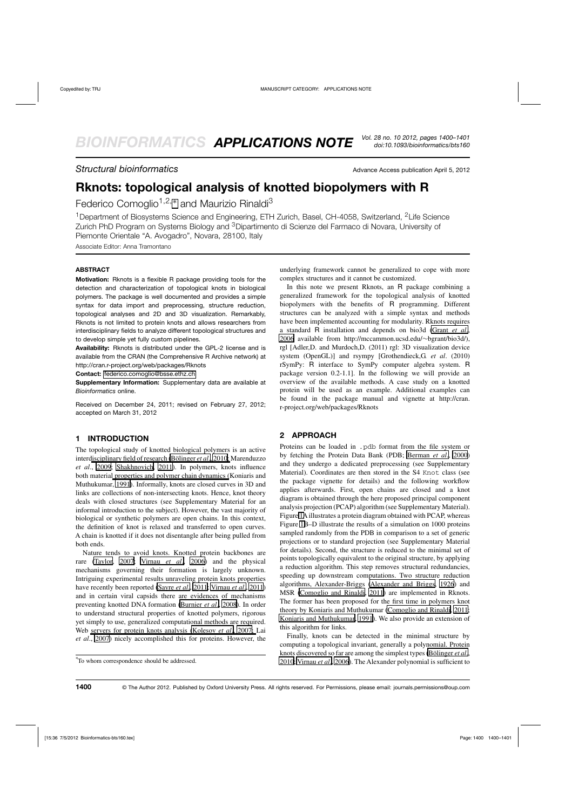### **Structural bioinformatics** Advance Access publication April 5, 2012

## **Rknots: topological analysis of knotted biopolymers with R**

Federico Comoglio<sup>1,2,\*</sup> and Maurizio Rinaldi<sup>3</sup>

<sup>1</sup>Department of Biosystems Science and Engineering, ETH Zurich, Basel, CH-4058, Switzerland, <sup>2</sup>Life Science Zurich PhD Program on Systems Biology and 3Dipartimento di Scienze del Farmaco di Novara, University of Piemonte Orientale "A. Avogadro", Novara, 28100, Italy

Associate Editor: Anna Tramontano

#### **ABSTRACT**

**Motivation:** Rknots is a flexible R package providing tools for the detection and characterization of topological knots in biological polymers. The package is well documented and provides a simple syntax for data import and preprocessing, structure reduction, topological analyses and 2D and 3D visualization. Remarkably, Rknots is not limited to protein knots and allows researchers from interdisciplinary fields to analyze different topological structures and to develop simple yet fully custom pipelines.

**Availability:** Rknots is distributed under the GPL-2 license and is available from the CRAN (the Comprehensive R Archive network) at http://cran.r-project.org/web/packages/Rknots

**Contact:** <federico.comoglio@bsse.ethz.ch>

**Supplementary Information:** Supplementary data are available at *Bioinformatics* online.

Received on December 24, 2011; revised on February 27, 2012; accepted on March 31, 2012

#### **1 INTRODUCTION**

The topological study of knotted biological polymers is an active inter[disciplinary](#page-2-0) [field](#page-2-0) [of](#page-2-0) [research](#page-2-0) [\(Bölinger](#page-2-0) *et al*., [2010](#page-2-0); Marenduzzo *et al*., [2009](#page-2-0); [Shakhnovich](#page-2-0), [2011](#page-2-0)). In polymers, knots influence both materia[l properties and polymer chain dynamics \(](#page-2-0)Koniaris and Muthukumar, [1991\)](#page-2-0). Informally, knots are closed curves in 3D and links are collections of non-intersecting knots. Hence, knot theory deals with closed structures (see Supplementary Material for an informal introduction to the subject). However, the vast majority of biological or synthetic polymers are open chains. In this context, the definition of knot is relaxed and transferred to open curves. A chain is knotted if it does not disentangle after being pulled from both ends.

Nature tends to avoid knots. Knotted protein backbones are rare [\(Taylor](#page-2-0), [2007](#page-2-0); [Virnau](#page-2-0) *et al*., [2006\)](#page-2-0) and the physical mechanisms governing their formation is largely unknown. Intriguing experimental results unraveling protein knots properties have recently been reported [\(Sayre](#page-2-0) *et al*., [2011; Virnau](#page-2-0) *et al*., [2011](#page-2-0)) and in certain viral capsids there are evidences of mechanisms preventing knotted DNA formation [\(Burnier](#page-2-0) *et al*., [2008](#page-2-0)). In order to understand structural properties of knotted polymers, rigorous yet simply to use, generalized computational methods are required. Web [servers](#page-2-0) [for](#page-2-0) [protein](#page-2-0) [knots](#page-2-0) [analysis](#page-2-0) [\(Kolesov](#page-2-0) *et al*., [2007;](#page-2-0) Lai *et al*., [2007](#page-2-0)) nicely accomplished this for proteins. However, the

underlying framework cannot be generalized to cope with more complex structures and it cannot be customized.

In this note we present Rknots, an R package combining a generalized framework for the topological analysis of knotted biopolymers with the benefits of R programming. Different structures can be analyzed with a simple syntax and methods have been implemented accounting for modularity. Rknots requires a standard R installation and depends on bio3d [\(Grant](#page-2-0) *et al*., [2006](#page-2-0) available from http://mccammon.ucsd.edu/∼bgrant/bio3d/), rgl [Adler,D. and Murdoch,D. (2011) rgl: 3D visualization device system (OpenGL)] and rsympy [Grothendieck,G. *et al*. (2010) rSymPy: R interface to SymPy computer algebra system. R package version 0.2-1.1]. In the following we will provide an overview of the available methods. A case study on a knotted protein will be used as an example. Additional examples can be found in the package manual and vignette at http://cran. r-project.org/web/packages/Rknots

#### **2 APPROACH**

Proteins can be loaded in .pdb format from the file system or by fetching the Protein Data Bank (PDB; [Berman](#page-2-0) *et al*., [2000](#page-2-0)) and they undergo a dedicated preprocessing (see Supplementary Material). Coordinates are then stored in the S4 Knot class (see the package vignette for details) and the following workflow applies afterwards. First, open chains are closed and a knot diagram is obtained through the here proposed principal component analysis projection (PCAP) algorithm (see Supplementary Material). Figure [1A](#page-2-0)illustrates a protein diagram obtained with PCAP, whereas Figure [1B](#page-2-0)–D illustrate the results of a simulation on 1000 proteins sampled randomly from the PDB in comparison to a set of generic projections or to standard projection (see Supplementary Material for details). Second, the structure is reduced to the minimal set of points topologically equivalent to the original structure, by applying a reduction algorithm. This step removes structural redundancies, speeding up downstream computations. Two structure reduction algorithms, Alexander-Briggs [\(Alexander and Briggs, 1926](#page-2-0)) and MSR [\(Comoglio and Rinaldi, 2011](#page-2-0)) are implemented in Rknots. The former has been proposed for the first time in polymers knot theory by Koniaris and Muthukumar [\(Comoglio and Rinaldi, 2011;](#page-2-0) [Koniaris and Muthukumar, 1991\)](#page-2-0). We also provide an extension of this algorithm for links.

Finally, knots can be detected in the minimal structure by computing a topological invariant, generally a polynomial. Protein knots discovered so far are among the simplest types [\(Bölinger](#page-2-0) *et al*., [2010](#page-2-0); [Virnau](#page-2-0) *et al*., [2006](#page-2-0)). The Alexander polynomial is sufficient to

<sup>∗</sup> To whom correspondence should be addressed.